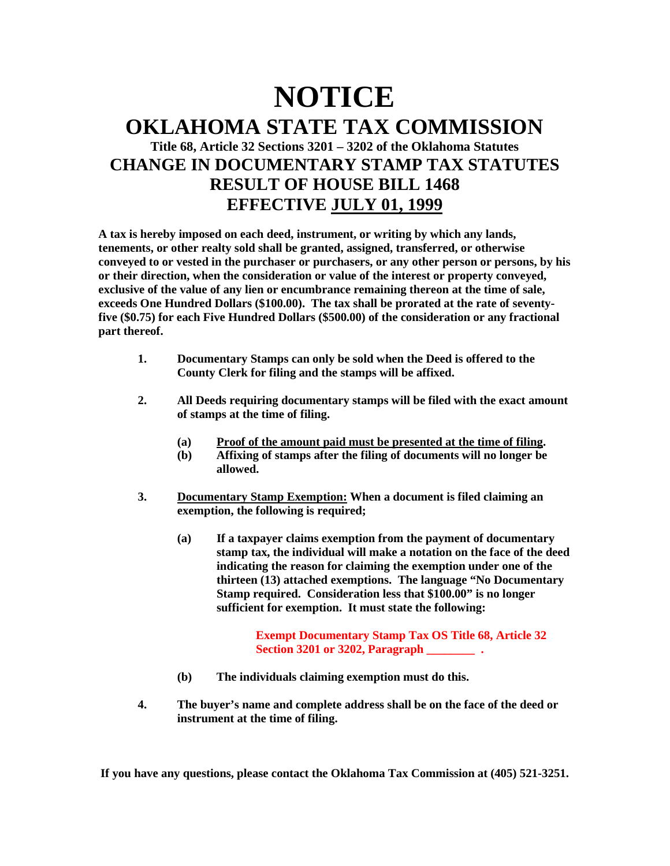## **NOTICE OKLAHOMA STATE TAX COMMISSION Title 68, Article 32 Sections 3201 – 3202 of the Oklahoma Statutes CHANGE IN DOCUMENTARY STAMP TAX STATUTES RESULT OF HOUSE BILL 1468 EFFECTIVE JULY 01, 1999**

**A tax is hereby imposed on each deed, instrument, or writing by which any lands, tenements, or other realty sold shall be granted, assigned, transferred, or otherwise conveyed to or vested in the purchaser or purchasers, or any other person or persons, by his or their direction, when the consideration or value of the interest or property conveyed, exclusive of the value of any lien or encumbrance remaining thereon at the time of sale, exceeds One Hundred Dollars (\$100.00). The tax shall be prorated at the rate of seventyfive (\$0.75) for each Five Hundred Dollars (\$500.00) of the consideration or any fractional part thereof.**

- **1. Documentary Stamps can only be sold when the Deed is offered to the County Clerk for filing and the stamps will be affixed.**
- **2. All Deeds requiring documentary stamps will be filed with the exact amount of stamps at the time of filing.**
	- **(a) Proof of the amount paid must be presented at the time of filing.**
	- **(b) Affixing of stamps after the filing of documents will no longer be allowed.**
- **3. Documentary Stamp Exemption: When a document is filed claiming an exemption, the following is required;**
	- **(a) If a taxpayer claims exemption from the payment of documentary stamp tax, the individual will make a notation on the face of the deed indicating the reason for claiming the exemption under one of the thirteen (13) attached exemptions. The language "No Documentary Stamp required. Consideration less that \$100.00" is no longer sufficient for exemption. It must state the following:**

**Exempt Documentary Stamp Tax OS Title 68, Article 32 Section 3201 or 3202, Paragraph \_\_\_\_\_\_\_\_ .**

- **(b) The individuals claiming exemption must do this.**
- **4. The buyer's name and complete address shall be on the face of the deed or instrument at the time of filing.**

**If you have any questions, please contact the Oklahoma Tax Commission at (405) 521-3251.**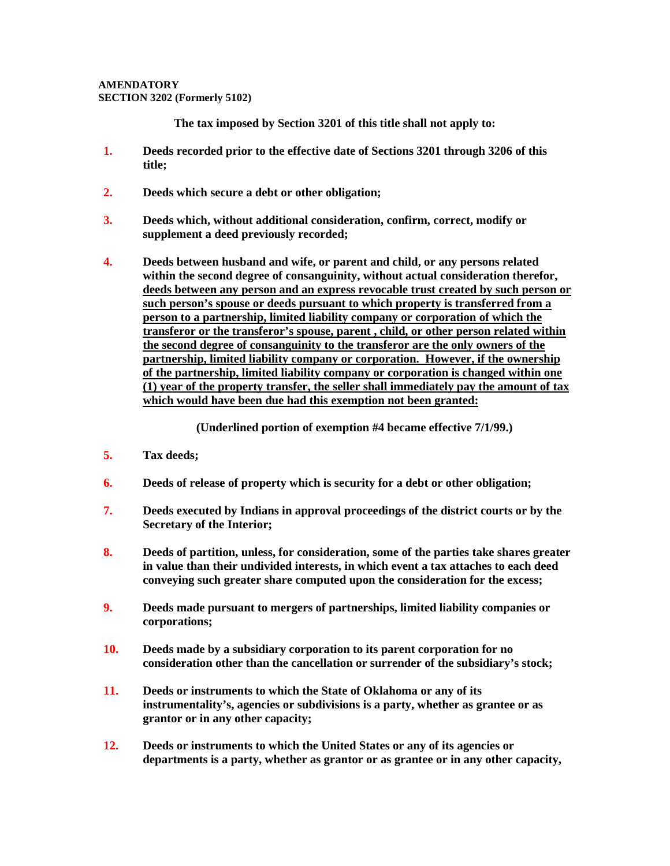## **AMENDATORY SECTION 3202 (Formerly 5102)**

**The tax imposed by Section 3201 of this title shall not apply to:**

- **1. Deeds recorded prior to the effective date of Sections 3201 through 3206 of this title;**
- **2. Deeds which secure a debt or other obligation;**
- **3. Deeds which, without additional consideration, confirm, correct, modify or supplement a deed previously recorded;**
- **4. Deeds between husband and wife, or parent and child, or any persons related within the second degree of consanguinity, without actual consideration therefor, deeds between any person and an express revocable trust created by such person or such person's spouse or deeds pursuant to which property is transferred from a person to a partnership, limited liability company or corporation of which the transferor or the transferor's spouse, parent , child, or other person related within the second degree of consanguinity to the transferor are the only owners of the partnership, limited liability company or corporation. However, if the ownership of the partnership, limited liability company or corporation is changed within one (1) year of the property transfer, the seller shall immediately pay the amount of tax which would have been due had this exemption not been granted:**

**(Underlined portion of exemption #4 became effective 7/1/99.)**

- **5. Tax deeds;**
- **6. Deeds of release of property which is security for a debt or other obligation;**
- **7. Deeds executed by Indians in approval proceedings of the district courts or by the Secretary of the Interior;**
- **8. Deeds of partition, unless, for consideration, some of the parties take shares greater in value than their undivided interests, in which event a tax attaches to each deed conveying such greater share computed upon the consideration for the excess;**
- **9. Deeds made pursuant to mergers of partnerships, limited liability companies or corporations;**
- **10. Deeds made by a subsidiary corporation to its parent corporation for no consideration other than the cancellation or surrender of the subsidiary's stock;**
- **11. Deeds or instruments to which the State of Oklahoma or any of its instrumentality's, agencies or subdivisions is a party, whether as grantee or as grantor or in any other capacity;**
- **12. Deeds or instruments to which the United States or any of its agencies or departments is a party, whether as grantor or as grantee or in any other capacity,**